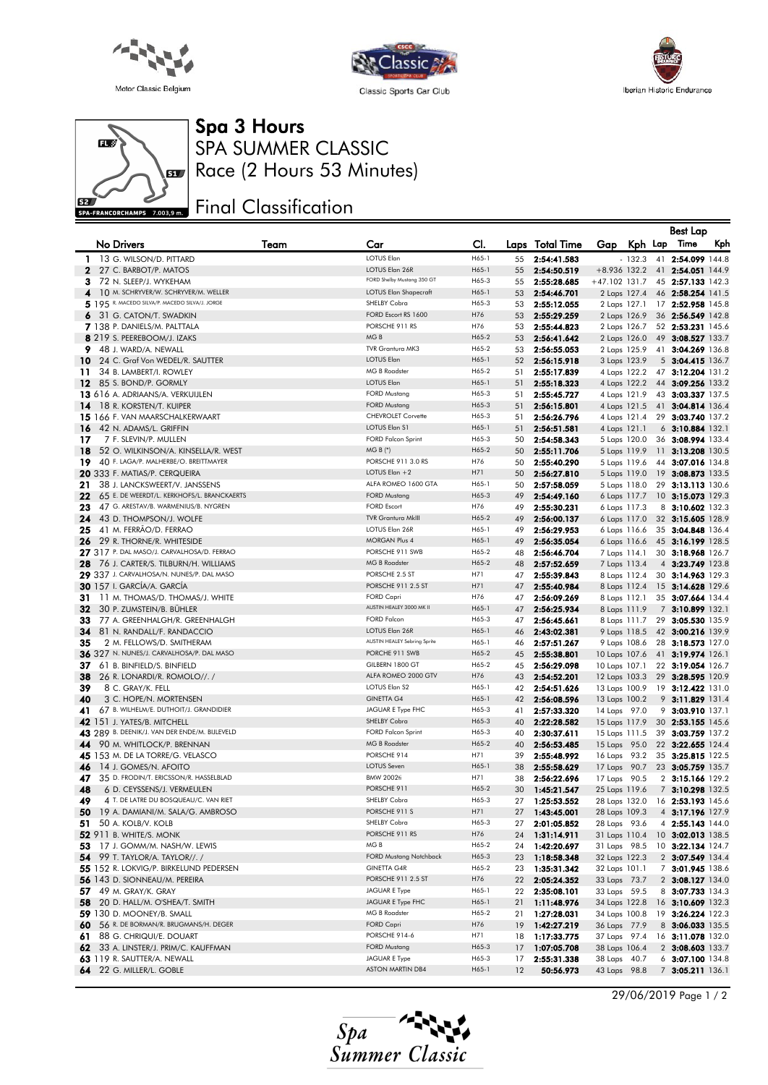





## Spa 3 Hours

 $\mathbf{H}$  $\mathbf{g}$ SPA-FRANCORCHAMPS 7.003,9 m.

SPA SUMMER CLASSIC Race (2 Hours 53 Minutes)

## Final Classification

|              |                                                                         |      |                                           |                |          |                            |                                |                              |    | <b>Best Lap</b>                        |     |
|--------------|-------------------------------------------------------------------------|------|-------------------------------------------|----------------|----------|----------------------------|--------------------------------|------------------------------|----|----------------------------------------|-----|
|              | <b>No Drivers</b>                                                       | Team | Car                                       | CI.            |          | Laps Total Time            | Gap Kph Lap                    |                              |    | Time                                   | Kph |
| 1            | 13 G. WILSON/D. PITTARD                                                 |      | <b>LOTUS Elan</b>                         | H65-1          | 55       | 2:54:41.583                |                                | $-132.3$                     |    | 41 2:54.099 144.8                      |     |
| $\mathbf{2}$ | 27 C. BARBOT/P. MATOS                                                   |      | LOTUS Elan 26R                            | H65-1          | 55       | 2:54:50.519                | $+8.936$ 132.2                 |                              |    | 41 2:54.051 144.9                      |     |
| з            | 72 N. SLEEP/J. WYKEHAM                                                  |      | FORD Shelby Mustang 350 GT                | H65-3          | 55       | 2:55:28.685                | +47.102 131.7                  |                              |    | 45 2:57.133 142.3                      |     |
| 4            | 10 M. SCHRYVER/W. SCHRYVER/M. WELLER                                    |      | <b>LOTUS Elan Shapecraft</b>              | H65-1          | 53       | 2:54:46.701                |                                | 2 Laps 127.4                 |    | 46 2:58.254 141.5                      |     |
|              | 5 195 R. MACEDO SILVA/P. MACEDO SILVA/J. JORGE                          |      | SHELBY Cobra                              | H65-3          | 53       | 2:55:12.055                | 2 Laps 127.1                   |                              |    | 17 2:52.958 145.8                      |     |
| 6            | 31 G. CATON/T. SWADKIN                                                  |      | FORD Escort RS 1600                       | H76            | 53       | 2:55:29.259                |                                | 2 Laps 126.9                 |    | 36 2:56.549 142.8                      |     |
|              | 7 138 P. DANIELS/M. PALTTALA                                            |      | PORSCHE 911 RS                            | H76            | 53       | 2:55:44.823                |                                | 2 Laps 126.7                 |    | 52 2:53.231 145.6                      |     |
|              | 8 219 S. PEEREBOOM/J. IZAKS                                             |      | MG <sub>B</sub>                           | H65-2          | 53       | 2:56:41.642                |                                | 2 Laps 126.0                 |    | 49 3:08.527 133.7                      |     |
| 9            | 48 J. WARD/A. NEWALL                                                    |      | TVR Grantura MK3                          | H65-2          | 53       | 2:56:55.053                | 2 Laps 125.9                   |                              |    | 41 3:04.269 136.8                      |     |
| 10           | 24 C. Graf Von WEDEL/R. SAUTTER                                         |      | <b>LOTUS Elan</b>                         | H65-1          | 52       | 2:56:15.918                | 3 Laps 123.9                   |                              |    | 5 3:04.415 136.7                       |     |
| 11           | 34 B. LAMBERT/I. ROWLEY                                                 |      | <b>MG B Roadster</b><br><b>LOTUS Elan</b> | H65-2          | 51       | 2:55:17.839                |                                | 4 Laps 122.2                 |    | 47 3:12.204 131.2                      |     |
| 12           | 85 S. BOND/P. GORMLY                                                    |      | <b>FORD Mustang</b>                       | H65-1<br>H65-3 | 51<br>51 | 2:55:18.323<br>2:55:45.727 |                                | 4 Laps 122.2                 |    | 44 3:09.256 133.2<br>43 3:03.337 137.5 |     |
| 14           | 13 616 A. ADRIAANS/A. VERKUIJLEN<br>18 R. KORSTEN/T. KUIPER             |      | <b>FORD Mustang</b>                       | H65-3          | 51       | 2:56:15.801                |                                | 4 Laps 121.9<br>4 Laps 121.5 |    | 41 3:04.814 136.4                      |     |
|              | <b>15</b> 166 F. VAN MAARSCHALKERWAART                                  |      | <b>CHEVROLET Corvette</b>                 | H65-3          | 51       | 2:56:26.796                | 4 Laps 121.4                   |                              |    | 29 3:03.740 137.2                      |     |
| 16           | 42 N. ADAMS/L. GRIFFIN                                                  |      | <b>LOTUS Elan S1</b>                      | H65-1          | 51       | 2:56:51.581                | 4 Laps 121.1                   |                              |    | $6$ 3:10.884 132.1                     |     |
| 17           | 7 F. SLEVIN/P. MULLEN                                                   |      | <b>FORD Falcon Sprint</b>                 | H65-3          | 50       | 2:54:58.343                |                                | 5 Laps 120.0                 |    | 36 3:08.994 133.4                      |     |
| 18           | 52 O. WILKINSON/A. KINSELLA/R. WEST                                     |      | $MG B (*)$                                | H65-2          | 50       | 2:55:11.706                |                                | 5 Laps 119.9                 |    | 11 3:13.208 130.5                      |     |
| 19           | 40 F. LAGA/P. MALHERBE/O. BREITTMAYER                                   |      | PORSCHE 911 3.0 RS                        | H76            | 50       | 2:55:40.290                |                                | 5 Laps 119.6                 |    | 44 3:07.016 134.8                      |     |
|              | 20 333 F. MATIAS/P. CERQUEIRA                                           |      | LOTUS Elan $+2$                           | H71            | 50       | 2:56:27.810                |                                | 5 Laps 119.0                 | 19 | 3:08.873 133.5                         |     |
| 21           | 38 J. LANCKSWEERT/V. JANSSENS                                           |      | ALFA ROMEO 1600 GTA                       | H65-1          | 50       | 2:57:58.059                |                                | 5 Laps 118.0                 | 29 | 3:13.113 130.6                         |     |
| 22           | 65 E. DE WEERDT/L. KERKHOFS/L. BRANCKAERTS                              |      | <b>FORD Mustang</b>                       | H65-3          | 49       | 2:54:49.160                |                                | 6 Laps 117.7                 |    | 10 3:15.073 129.3                      |     |
| 23           | 47 G. ARESTAV/B. WARMENIUS/B. NYGREN                                    |      | <b>FORD Escort</b>                        | H76            | 49       | 2:55:30.231                |                                | 6 Laps 117.3                 |    | 8 3:10.602 132.3                       |     |
| 24           | 43 D. THOMPSON/J. WOLFE                                                 |      | <b>TVR Grantura MkIII</b>                 | H65-2          | 49       | 2:56:00.137                |                                | 6 Laps 117.0                 |    | 32 3:15.605 128.9                      |     |
| 25           | 41 M. FERRÃO/D. FERRAO                                                  |      | LOTUS Elan 26R<br><b>MORGAN Plus 4</b>    | H65-1          | 49       | 2:56:29.953                |                                | 6 Laps 116.6                 |    | 35 3:04.848 136.4                      |     |
| 26           | 29 R. THORNE/R. WHITESIDE<br>27 317 P. DAL MASO/J. CARVALHOSA/D. FERRAO |      | PORSCHE 911 SWB                           | H65-1<br>H65-2 | 49       | 2:56:35.054                |                                | 6 Laps 116.6                 |    | 45 3:16.199 128.5                      |     |
| 28           | 76 J. CARTER/S. TILBURN/H. WILLIAMS                                     |      | <b>MG B Roadster</b>                      | H65-2          | 48<br>48 | 2:56:46.704<br>2:57:52.659 | 7 Laps 114.1<br>7 Laps 113.4   |                              |    | 30 3:18.968 126.7<br>4 3:23.749 123.8  |     |
|              | 29 337 J. CARVALHOSA/N. NUNES/P. DAL MASO                               |      | PORSCHE 2.5 ST                            | H71            | 47       | 2:55:39.843                | 8 Laps 112.4                   |                              |    | 30 3:14.963 129.3                      |     |
|              | <b>30</b> 157 I. GARCÍA/A. GARCÍA                                       |      | PORSCHE 911 2.5 ST                        | H71            | 47       | 2:55:40.984                |                                | 8 Laps 112.4                 |    | 15 3:14.628 129.6                      |     |
| 31           | 11 M. THOMAS/D. THOMAS/J. WHITE                                         |      | <b>FORD Capri</b>                         | H76            | 47       | 2:56:09.269                | 8 Laps 112.1                   |                              |    | 35 3:07.664 134.4                      |     |
| 32           | 30 P. ZUMSTEIN/B. BUHLER                                                |      | AUSTIN HEALEY 3000 MK II                  | H65-1          | 47       | 2:56:25.934                | 8 Laps 111.9                   |                              |    | 7 3:10.899 132.1                       |     |
| 33           | 77 A. GREENHALGH/R. GREENHALGH                                          |      | <b>FORD Falcon</b>                        | H65-3          | 47       | 2:56:45.661                |                                | 8 Laps 111.7                 | 29 | 3:05.530 135.9                         |     |
| 34           | 81 N. RANDALL/F. RANDACCIO                                              |      | LOTUS Elan 26R                            | H65-1          | 46       | 2:43:02.381                |                                | 9 Laps 118.5                 |    | 42 3:00.216 139.9                      |     |
| 35           | 2 M. FELLOWS/D. SMITHERAM                                               |      | AUSTIN HEALEY Sebring Sprite              | H65-1          | 46       | 2:57:51.267                |                                | 9 Laps 108.6                 |    | 28 3:18.573 127.0                      |     |
|              | 36 327 N. NUNES/J. CARVALHOSA/P. DAL MASO                               |      | PORCHE 911 SWB                            | H65-2          | 45       | 2:55:38.801                | 10 Laps 107.6                  |                              |    | 41 3:19.974 126.1                      |     |
| 37           | 61 B. BINFIELD/S. BINFIELD                                              |      | GILBERN 1800 GT                           | H65-2          | 45       | 2:56:29.098                | 10 Laps 107.1                  |                              |    | 22 3:19.054 126.7                      |     |
| 38           | 26 R. LONARDI/R. ROMOLO//./                                             |      | ALFA ROMEO 2000 GTV<br>LOTUS Elan S2      | H76<br>H65-1   | 43       | 2:54:52.201                | 12 Laps 103.3                  |                              |    | 29 3:28.595 120.9                      |     |
| 39<br>40     | 8 C. GRAY/K. FELL<br>3 C. HOPE/N. MORTENSEN                             |      | <b>GINETTA G4</b>                         | H65-1          | 42<br>42 | 2:54:51.626<br>2:56:08.596 | 13 Laps 100.9<br>13 Laps 100.2 |                              |    | 19 3:12.422 131.0<br>9 3:11.829 131.4  |     |
| 41           | 67 B. WILHELM/E. DUTHOIT/J. GRANDIDIER                                  |      | JAGUAR E Type FHC                         | H65-3          | 41       | 2:57:33.320                | 14 Laps 97.0                   |                              |    | 9 3:03.910 137.1                       |     |
|              | <b>42</b> 151 J. YATES/B. MITCHELL                                      |      | SHELBY Cobra                              | H65-3          | 40       | 2:22:28.582                | 15 Laps 117.9                  |                              |    | 30 2:53.155 145.6                      |     |
|              | 43 289 B. DEENIK/J. VAN DER ENDE/M. BIJLEVELD                           |      | <b>FORD Falcon Sprint</b>                 | H65-3          | 40       | 2:30:37.611                | 15 Laps 111.5                  |                              |    | 39 3:03.759 137.2                      |     |
| 44           | 90 M. WHITLOCK/P. BRENNAN                                               |      | <b>MG B Roadster</b>                      | H65-2          | 40       | 2:56:53.485                | 15 Laps 95.0                   |                              |    | 22 3:22.655 124.4                      |     |
|              | 45 153 M. DE LA TORRE/G. VELASCO                                        |      | PORSCHE 914                               | H71            | 39       | 2:55:48.992                | 16 Laps 93.2                   |                              |    | 35 3:25.815 122.5                      |     |
| 46           | 14 J. GOMES/N. AFOITO                                                   |      | <b>LOTUS Seven</b>                        | H65-1          | 38       | 2:55:58.629                | 17 Laps 90.7                   |                              |    | 23 3:05.759 135.7                      |     |
| 47           | 35 D. FRODIN/T. ERICSSON/R. HASSELBLAD                                  |      | <b>BMW 2002fi</b>                         | H71            | 38       | 2:56:22.696                | 17 Laps 90.5                   |                              |    | 2 3:15.166 129.2                       |     |
| 48           | 6 D. CEYSSENS/J. VERMEULEN                                              |      | PORSCHE 911                               | H65-2          | 30       | 1:45:21.547                | 25 Laps 119.6                  |                              |    | 7 3:10.298 132.5                       |     |
| 49.          | 4 T. DE LATRE DU BOSQUEAU/C. VAN RIET                                   |      | SHELBY Cobra                              | H65-3          | 27       | 1:25:53.552                | 28 Laps 132.0                  |                              |    | 16 2:53.193 145.6                      |     |
| 50           | 19 A. DAMIANI/M. SALA/G. AMBROSO                                        |      | PORSCHE 911 S                             | H71            | 27       | 1:43:45.001                | 28 Laps 109.3                  |                              |    | 4 3:17.196 127.9                       |     |
| 51           | 50 A. KOLB/V. KOLB                                                      |      | SHELBY Cobra<br>PORSCHE 911 RS            | H65-3<br>H76   | 27       | 2:01:05.852<br>1:31:14.911 | 28 Laps 93.6                   |                              |    | 4 2:55.143 144.0                       |     |
| 53           | <b>52</b> 911 B. WHITE/S. MONK<br>17 J. GOMM/M. NASH/W. LEWIS           |      | MG B                                      | H65-2          | 24<br>24 | 1:42:20.697                | 31 Laps 110.4<br>31 Laps 98.5  |                              |    | 10 3:02.013 138.5<br>10 3:22.134 124.7 |     |
|              | <b>54</b> 99 T. TAYLOR/A. TAYLOR//. /                                   |      | <b>FORD Mustang Notchback</b>             | H65-3          | 23       | 1:18:58.348                | 32 Laps 122.3                  |                              |    | 2 3:07.549 134.4                       |     |
|              | 55 152 R. LOKVIG/P. BIRKELUND PEDERSEN                                  |      | <b>GINETTA G4R</b>                        | H65-2          | 23       | 1:35:31.342                | 32 Laps 101.1                  |                              |    | 7 3:01.945 138.6                       |     |
|              | 56 143 D. SIONNEAU/M. PEREIRA                                           |      | PORSCHE 911 2.5 ST                        | H76            | 22       | 2:05:24.352                | 33 Laps 73.7                   |                              |    | 2 3:08.127 134.0                       |     |
| 57.          | 49 M. GRAY/K. GRAY                                                      |      | JAGUAR E Type                             | H65-1          | 22       | 2:35:08.101                | 33 Laps 59.5                   |                              |    | 8 3:07.733 134.3                       |     |
| 58           | 20 D. HALL/M. O'SHEA/T. SMITH                                           |      | JAGUAR E Type FHC                         | H65-1          | 21       | 1:11:48.976                | 34 Laps 122.8                  |                              |    | 16 3:10.609 132.3                      |     |
|              | <b>59</b> 130 D. MOONEY/B. SMALL                                        |      | MG B Roadster                             | H65-2          | 21       | 1:27:28.031                | 34 Laps 100.8                  |                              |    | 19 3:26.224 122.3                      |     |
| 60           | 56 R. DE BORMAN/R. BRUGMANS/H. DEGER                                    |      | <b>FORD Capri</b>                         | H76            | 19       | 1:42:27.219                | 36 Laps 77.9                   |                              |    | 8 3:06.033 135.5                       |     |
| 61.          | 88 G. CHRIQUI/E. DOUART                                                 |      | PORSCHE 914-6                             | H71            | 18       | 1:17:33.775                | 37 Laps 97.4                   |                              |    | 16 3:11.078 132.0                      |     |
|              | 62 33 A. LINSTER/J. PRIM/C. KAUFFMAN                                    |      | <b>FORD Mustang</b>                       | H65-3          | 17       | 1:07:05.708                | 38 Laps 106.4                  |                              |    | 2 3:08.603 133.7                       |     |
|              | <b>63</b> 119 R. SAUTTER/A. NEWALL                                      |      | <b>JAGUAR E Type</b>                      | H65-3          | 17       | 2:55:31.338                | 38 Laps 40.7                   |                              |    | 6 3:07.100 134.8                       |     |
|              | 64 22 G. MILLER/L. GOBLE                                                |      | <b>ASTON MARTIN DB4</b>                   | H65-1          | 12       | 50:56.973                  | 43 Laps 98.8                   |                              |    | 7 3:05.211 136.1                       |     |



29/06/2019 Page 1 / 2